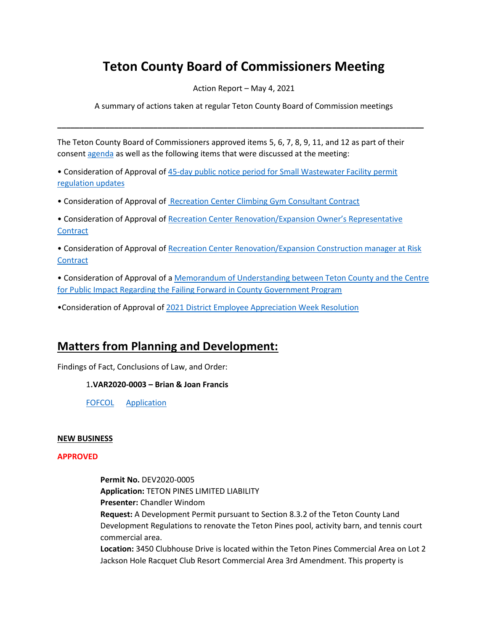# **Teton County Board of Commissioners Meeting**

Action Report – May 4, 2021

A summary of actions taken at regular Teton County Board of Commission meetings

**\_\_\_\_\_\_\_\_\_\_\_\_\_\_\_\_\_\_\_\_\_\_\_\_\_\_\_\_\_\_\_\_\_\_\_\_\_\_\_\_\_\_\_\_\_\_\_\_\_\_\_\_\_\_\_\_\_\_\_\_\_\_\_\_\_\_\_\_\_\_\_\_\_\_\_\_\_\_\_\_\_\_\_\_**

The Teton County Board of Commissioners approved items 5, 6, 7, 8, 9, 11, and 12 as part of their consent [agenda](http://tetoncountywy.gov/AgendaCenter/ViewFile/Agenda/_05042021-1661) as well as the following items that were discussed at the meeting:

• Consideration of Approval of [45-day public notice period for Small Wastewater Facility permit](https://www.tetoncountywy.gov/DocumentCenter/View/18222/05041-WASTEWATER-FACILITY-45-DAY-PUBLIC-COMMENT) [regulation updates](https://www.tetoncountywy.gov/DocumentCenter/View/18222/05041-WASTEWATER-FACILITY-45-DAY-PUBLIC-COMMENT)

• Consideration of Approval of [Recreation](https://www.tetoncountywy.gov/DocumentCenter/View/18223/05042-Climbing-Gym-Consultant-Contract) Center Climbing Gym Consultant Contract

• Consideration of Approval of Recreation [Center Renovation/Expansion Owner's Representative](https://www.tetoncountywy.gov/DocumentCenter/View/18224/05043-Rec-Center-Renovation-Owners-Representative-Contract)  **[Contract](https://www.tetoncountywy.gov/DocumentCenter/View/18224/05043-Rec-Center-Renovation-Owners-Representative-Contract)** 

• Consideration of Approval of [Recreation Center Renovation/Expansion Construction manager at Risk](https://www.tetoncountywy.gov/DocumentCenter/View/18245/05044-Parks-and-Rec-CMAR-Contract)  **[Contract](https://www.tetoncountywy.gov/DocumentCenter/View/18245/05044-Parks-and-Rec-CMAR-Contract)** 

• Consideration of Approval of [a Memorandum of Understanding between Teton County and the Centre](https://www.tetoncountywy.gov/DocumentCenter/View/18230/050410-20210504-Teton-County_CPI-NACA-Fail-Forward-Program_Enrollment-Package)  [for Public Impact Regarding the Failing Forward in County Government Program](https://www.tetoncountywy.gov/DocumentCenter/View/18230/050410-20210504-Teton-County_CPI-NACA-Fail-Forward-Program_Enrollment-Package)

•Consideration of Approval of [2021 District Employee Appreciation Week Resolution](https://www.tetoncountywy.gov/DocumentCenter/View/18304/050413-District-Employee-Appreciation-Week)

# **Matters from Planning and Development:**

Findings of Fact, Conclusions of Law, and Order:

1**.VAR2020-0003 – Brian & Joan Francis**

[FOFCOL](https://www.tetoncountywy.gov/DocumentCenter/View/18243/VAR2020-0003-FOF-COL) [Application](https://www.tetoncountywy.gov/DocumentCenter/View/18304/050413-District-Employee-Appreciation-Week)

#### **NEW BUSINESS**

#### **APPROVED**

**Permit No.** DEV2020-0005 **Application:** TETON PINES LIMITED LIABILITY **Presenter:** Chandler Windom **Request:** A Development Permit pursuant to Section 8.3.2 of the Teton County Land Development Regulations to renovate the Teton Pines pool, activity barn, and tennis court commercial area. **Location:** 3450 Clubhouse Drive is located within the Teton Pines Commercial Area on Lot 2

Jackson Hole Racquet Club Resort Commercial Area 3rd Amendment. This property is